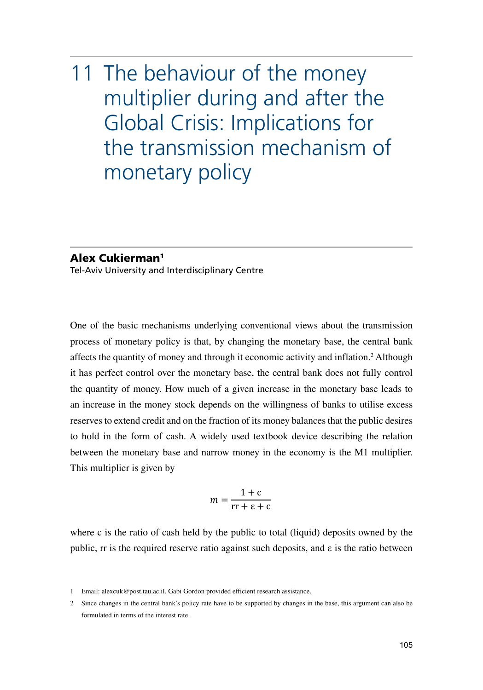# 11 The behaviour of the money multiplier during and after the Global Crisis: Implications for the transmission mechanism of monetary policy

#### Alex Cukierman1

Tel-Aviv University and Interdisciplinary Centre

One of the basic mechanisms underlying conventional views about the transmission process of monetary policy is that, by changing the monetary base, the central bank affects the quantity of money and through it economic activity and inflation.<sup>2</sup> Although it has perfect control over the monetary base, the central bank does not fully control the quantity of money. How much of a given increase in the monetary base leads to an increase in the money stock depends on the willingness of banks to utilise excess reserves to extend credit and on the fraction of its money balances that the public desires to hold in the form of cash. A widely used textbook device describing the relation between the monetary base and narrow money in the economy is the M1 multiplier. This multiplier is given by

$$
m = \frac{1+c}{rr + \varepsilon + c}
$$

where c is the ratio of cash held by the public to total (liquid) deposits owned by the public, rr is the required reserve ratio against such deposits, and  $\varepsilon$  is the ratio between

<sup>1</sup> Email: [alexcuk@post.tau.ac.il](mailto:alexcuk@post.tau.ac.il). Gabi Gordon provided efficient research assistance.

<sup>2</sup> Since changes in the central bank's policy rate have to be supported by changes in the base, this argument can also be formulated in terms of the interest rate.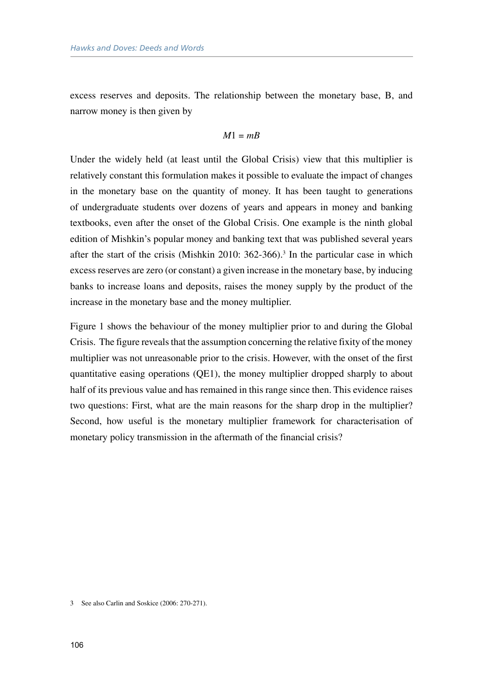excess reserves and deposits. The relationship between the monetary base, B, and narrow money is then given by

$$
M1 = mB
$$

Under the widely held (at least until the Global Crisis) view that this multiplier is relatively constant this formulation makes it possible to evaluate the impact of changes in the monetary base on the quantity of money. It has been taught to generations of undergraduate students over dozens of years and appears in money and banking textbooks, even after the onset of the Global Crisis. One example is the ninth global edition of Mishkin's popular money and banking text that was published several years after the start of the crisis (Mishkin 2010:  $362-366$ ).<sup>3</sup> In the particular case in which excess reserves are zero (or constant) a given increase in the monetary base, by inducing banks to increase loans and deposits, raises the money supply by the product of the increase in the monetary base and the money multiplier.

Figure 1 shows the behaviour of the money multiplier prior to and during the Global Crisis. The figure reveals that the assumption concerning the relative fixity of the money multiplier was not unreasonable prior to the crisis. However, with the onset of the first quantitative easing operations (QE1), the money multiplier dropped sharply to about half of its previous value and has remained in this range since then. This evidence raises two questions: First, what are the main reasons for the sharp drop in the multiplier? Second, how useful is the monetary multiplier framework for characterisation of monetary policy transmission in the aftermath of the financial crisis?

3 See also Carlin and Soskice (2006: 270-271).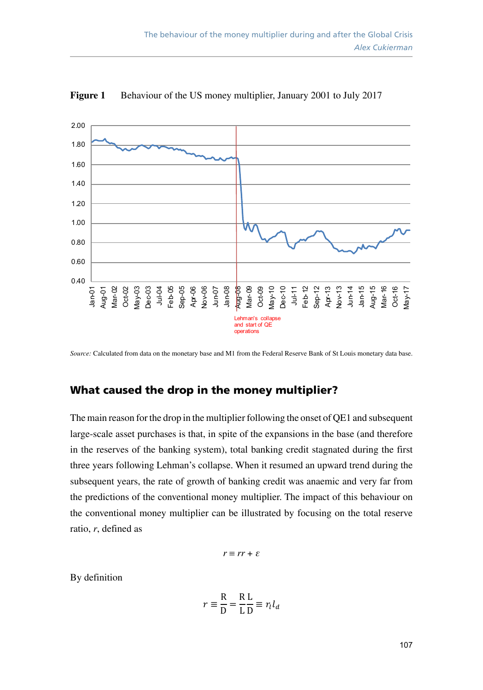

**Figure 1** Behaviour of the US money multiplier, January 2001 to July 2017

*Source:* Calculated from data on the monetary base and M1 from the Federal Reserve Bank of St Louis monetary data base.

## What caused the drop in the money multiplier?

The main reason for the drop in the multiplier following the onset of QE1 and subsequent large-scale asset purchases is that, in spite of the expansions in the base (and therefore in the reserves of the banking system), total banking credit stagnated during the first three years following Lehman's collapse. When it resumed an upward trend during the subsequent years, the rate of growth of banking credit was anaemic and very far from the predictions of the conventional money multiplier. The impact of this behaviour on the conventional money multiplier can be illustrated by focusing on the total reserve ratio, *r*, defined as

$$
r \equiv rr + \varepsilon
$$

By definition

$$
r \equiv \frac{R}{D} = \frac{R}{L}\frac{L}{D} \equiv r_l l_d
$$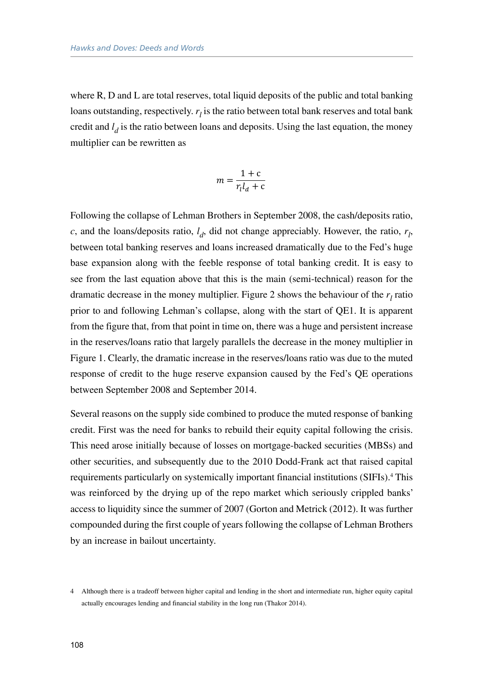where R, D and L are total reserves, total liquid deposits of the public and total banking loans outstanding, respectively.  $r_l$  is the ratio between total bank reserves and total bank credit and *l <sup>d</sup>* is the ratio between loans and deposits. Using the last equation, the money multiplier can be rewritten as

$$
m = \frac{1+c}{r_l l_d + c}
$$

Following the collapse of Lehman Brothers in September 2008, the cash/deposits ratio,  $c$ , and the loans/deposits ratio,  $l_d$ , did not change appreciably. However, the ratio,  $r_l$ , between total banking reserves and loans increased dramatically due to the Fed's huge base expansion along with the feeble response of total banking credit. It is easy to see from the last equation above that this is the main (semi-technical) reason for the dramatic decrease in the money multiplier. Figure 2 shows the behaviour of the  $r_l$  ratio prior to and following Lehman's collapse, along with the start of QE1. It is apparent from the figure that, from that point in time on, there was a huge and persistent increase in the reserves/loans ratio that largely parallels the decrease in the money multiplier in Figure 1. Clearly, the dramatic increase in the reserves/loans ratio was due to the muted response of credit to the huge reserve expansion caused by the Fed's QE operations between September 2008 and September 2014.

Several reasons on the supply side combined to produce the muted response of banking credit. First was the need for banks to rebuild their equity capital following the crisis. This need arose initially because of losses on mortgage-backed securities (MBSs) and other securities, and subsequently due to the 2010 Dodd-Frank act that raised capital requirements particularly on systemically important financial institutions (SIFIs).<sup>4</sup> This was reinforced by the drying up of the repo market which seriously crippled banks' access to liquidity since the summer of 2007 (Gorton and Metrick (2012). It was further compounded during the first couple of years following the collapse of Lehman Brothers by an increase in bailout uncertainty.

<sup>4</sup> Although there is a tradeoff between higher capital and lending in the short and intermediate run, higher equity capital actually encourages lending and financial stability in the long run (Thakor 2014).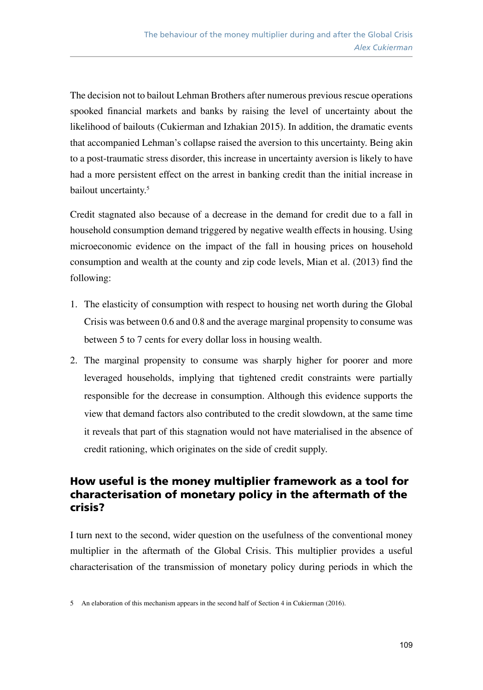The decision not to bailout Lehman Brothers after numerous previous rescue operations spooked financial markets and banks by raising the level of uncertainty about the likelihood of bailouts (Cukierman and Izhakian 2015). In addition, the dramatic events that accompanied Lehman's collapse raised the aversion to this uncertainty. Being akin to a post-traumatic stress disorder, this increase in uncertainty aversion is likely to have had a more persistent effect on the arrest in banking credit than the initial increase in bailout uncertainty.<sup>5</sup>

Credit stagnated also because of a decrease in the demand for credit due to a fall in household consumption demand triggered by negative wealth effects in housing. Using microeconomic evidence on the impact of the fall in housing prices on household consumption and wealth at the county and zip code levels, Mian et al. (2013) find the following:

- 1. The elasticity of consumption with respect to housing net worth during the Global Crisis was between 0.6 and 0.8 and the average marginal propensity to consume was between 5 to 7 cents for every dollar loss in housing wealth.
- 2. The marginal propensity to consume was sharply higher for poorer and more leveraged households, implying that tightened credit constraints were partially responsible for the decrease in consumption. Although this evidence supports the view that demand factors also contributed to the credit slowdown, at the same time it reveals that part of this stagnation would not have materialised in the absence of credit rationing, which originates on the side of credit supply.

## How useful is the money multiplier framework as a tool for characterisation of monetary policy in the aftermath of the crisis?

I turn next to the second, wider question on the usefulness of the conventional money multiplier in the aftermath of the Global Crisis. This multiplier provides a useful characterisation of the transmission of monetary policy during periods in which the

<sup>5</sup> An elaboration of this mechanism appears in the second half of Section 4 in Cukierman (2016).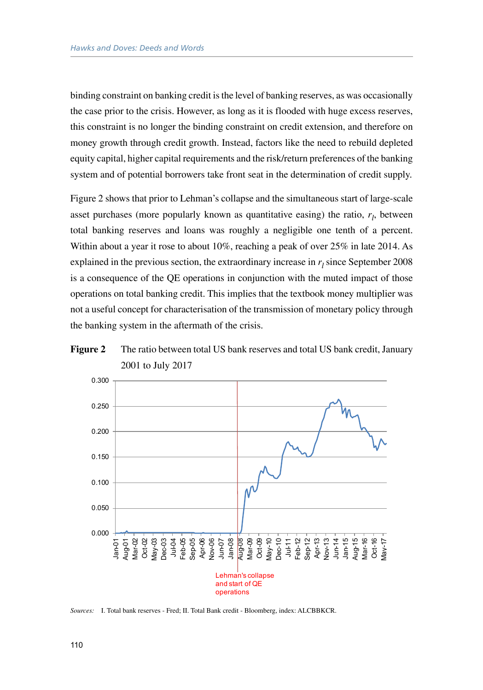binding constraint on banking credit is the level of banking reserves, as was occasionally the case prior to the crisis. However, as long as it is flooded with huge excess reserves, this constraint is no longer the binding constraint on credit extension, and therefore on money growth through credit growth. Instead, factors like the need to rebuild depleted equity capital, higher capital requirements and the risk/return preferences of the banking system and of potential borrowers take front seat in the determination of credit supply.

Figure 2 shows that prior to Lehman's collapse and the simultaneous start of large-scale asset purchases (more popularly known as quantitative easing) the ratio,  $r_l$ , between total banking reserves and loans was roughly a negligible one tenth of a percent. Within about a year it rose to about 10%, reaching a peak of over 25% in late 2014. As explained in the previous section, the extraordinary increase in  $r_l$  since September 2008 is a consequence of the QE operations in conjunction with the muted impact of those operations on total banking credit. This implies that the textbook money multiplier was not a useful concept for characterisation of the transmission of monetary policy through the banking system in the aftermath of the crisis.





*Sources:* I. Total bank reserves - Fred; II. Total Bank credit - Bloomberg, index: ALCBBKCR.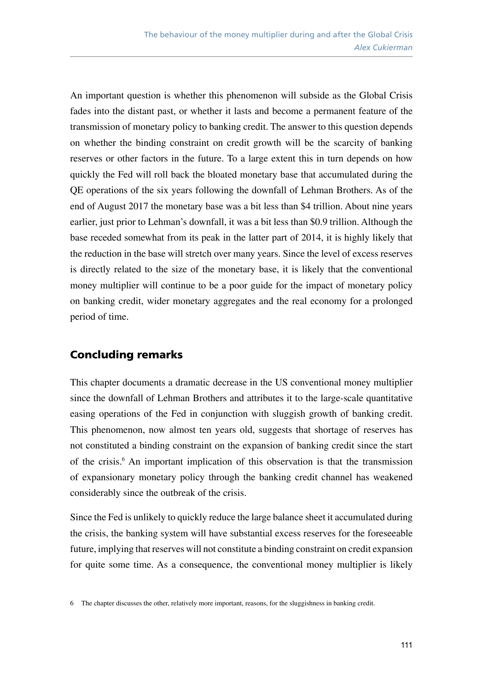An important question is whether this phenomenon will subside as the Global Crisis fades into the distant past, or whether it lasts and become a permanent feature of the transmission of monetary policy to banking credit. The answer to this question depends on whether the binding constraint on credit growth will be the scarcity of banking reserves or other factors in the future. To a large extent this in turn depends on how quickly the Fed will roll back the bloated monetary base that accumulated during the QE operations of the six years following the downfall of Lehman Brothers. As of the end of August 2017 the monetary base was a bit less than \$4 trillion. About nine years earlier, just prior to Lehman's downfall, it was a bit less than \$0.9 trillion. Although the base receded somewhat from its peak in the latter part of 2014, it is highly likely that the reduction in the base will stretch over many years. Since the level of excess reserves is directly related to the size of the monetary base, it is likely that the conventional money multiplier will continue to be a poor guide for the impact of monetary policy on banking credit, wider monetary aggregates and the real economy for a prolonged period of time.

## Concluding remarks

This chapter documents a dramatic decrease in the US conventional money multiplier since the downfall of Lehman Brothers and attributes it to the large-scale quantitative easing operations of the Fed in conjunction with sluggish growth of banking credit. This phenomenon, now almost ten years old, suggests that shortage of reserves has not constituted a binding constraint on the expansion of banking credit since the start of the crisis.<sup>6</sup> An important implication of this observation is that the transmission of expansionary monetary policy through the banking credit channel has weakened considerably since the outbreak of the crisis.

Since the Fed is unlikely to quickly reduce the large balance sheet it accumulated during the crisis, the banking system will have substantial excess reserves for the foreseeable future, implying that reserves will not constitute a binding constraint on credit expansion for quite some time. As a consequence, the conventional money multiplier is likely

<sup>6</sup> The chapter discusses the other, relatively more important, reasons, for the sluggishness in banking credit.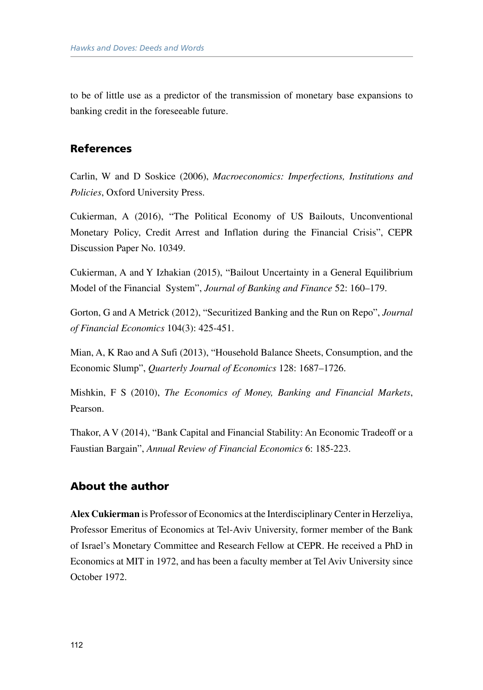to be of little use as a predictor of the transmission of monetary base expansions to banking credit in the foreseeable future.

## References

Carlin, W and D Soskice (2006), *Macroeconomics: Imperfections, Institutions and Policies*, Oxford University Press.

Cukierman, A (2016), "The Political Economy of US Bailouts, Unconventional Monetary Policy, Credit Arrest and Inflation during the Financial Crisis", CEPR Discussion Paper No. 10349.

Cukierman, A and Y Izhakian (2015), "Bailout Uncertainty in a General Equilibrium Model of the Financial System", *Journal of Banking and Finance* 52: 160–179.

Gorton, G and A Metrick (2012), "Securitized Banking and the Run on Repo", *Journal of Financial Economics* 104(3): 425-451.

Mian, A, K Rao and A Sufi (2013), "Household Balance Sheets, Consumption, and the Economic Slump", *Quarterly Journal of Economics* 128: 1687–1726.

Mishkin, F S (2010), *The Economics of Money, Banking and Financial Markets*, Pearson.

Thakor, A V (2014), "Bank Capital and Financial Stability: An Economic Tradeoff or a Faustian Bargain", *Annual Review of Financial Economics* 6: 185-223.

## About the author

**Alex Cukierman** is Professor of Economics at the Interdisciplinary Center in Herzeliya, Professor Emeritus of Economics at Tel-Aviv University, former member of the Bank of Israel's Monetary Committee and Research Fellow at CEPR. He received a PhD in Economics at MIT in 1972, and has been a faculty member at Tel Aviv University since October 1972.